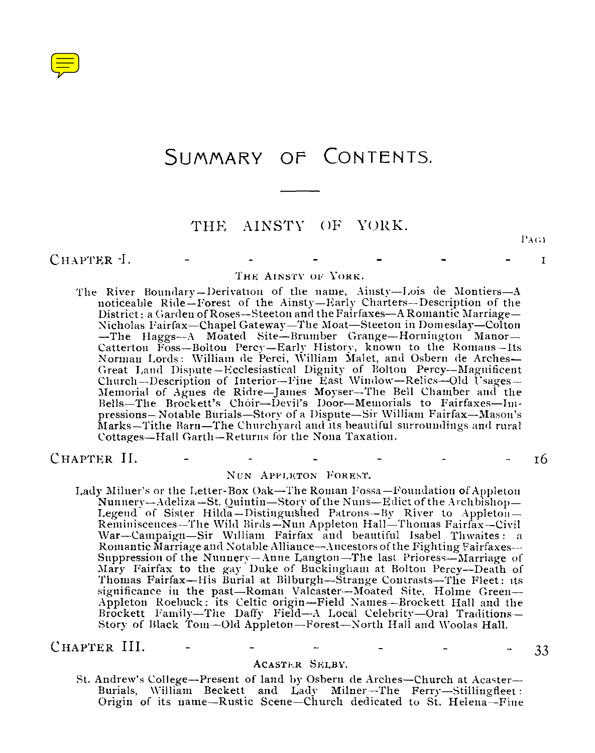

# SUMMARY OF CONTENTS.

# THE AINSTY OF YORK.

PAGE

 $\mathbf I$ 

CHAPTER -I.

### THE AINSTY OF YORK.

The River Boundary —Derivation of the name, Ainsty—Lois de Montiers—A noticeable Ride—Forest of the Ainsty—Early Charters—Description of the District : a Garden of Roses—Steeton and the Fairfaxes—A Romantic Marriage— Nicholas Fairfax—Chapel Gateway—The Moat—Steeton in Domesday—Colton —The Haggs—A Moated Site—Brumber Grange—Hornington Manor— Catterton Foss-Bolton Percy-Early History, known to the Romans-Its Norman Lords: William de Perci, William Malet, and Osbern de Arches-Great Land Dispute—Ecclesiastical Dignity of Bolton Percy—Magnificent Church-Description of Interior-Fine East Window-Relics-Old Usages-Memorial of Agnes de Ridre—James Moyser—The Bell Chamber and the Bells—The Brock ett's Choir—Devil's Door—Memorials to Fairfaxes—Impressions—Notable Burials—Story of a Dispute—Sir William Fairfax--Mason's Marks—Tithe Barn—The Churchyard and its beautiful surroundings and rural Cottages—Hall Garth—Returns for the Nona Taxation.

CHAPTER II.

16

### NUN APPLETON FOREST.

Lady Milner's or the Letter-Box Oak—The Roman Fossa—Foundation of Appleton Nunnery-Adeliza-St. Quintin-Story of the Nuns-Edict of the Archbishop-Legend of Sister Hilda—Distinguished Patrons—By River to Appleton — Reminiscences—The Wild Birds—Nun Appleton Hall—Thomas Fairfax—Civil War--Campaign-Sir William Fairfax and beautiful Isabel Thwaites: a Romantic Marriage aud Notable Alliance—Ancestors of the Fighting Fairfaxes-- Suppression of the Nunnery—Anne Langton—The last Prioress—Marriage of Mary Fairfax to the gay Duke of Bnckingham at Bolton Percy—Death of Thomas Fairfax—His Burial at Bilburgh—Strange Contrasts—The Fleet : its significance in the past—Roman Valcaster—Moated Site, Holme Green— Appleton Roebuck : its Celtic origin—Field Names—Brockett Hall and the Brockett Family—The Daffy Field—A Local Celebrity—Oral Traditions— Story of Black Toni—Old Appleton—Forest—North Hall and Woolas Hall. - 33

CHAPTER III.

### ACASTER SELBY.

St. Andrew's College—Present of land by Osbern de Arches—Church at Acaster— Burials, William Beckett and Lady Milner—The Ferry—Stillingfleet : Origin of its name—Rustic Scene—Church dedicated to St. Helena—Fine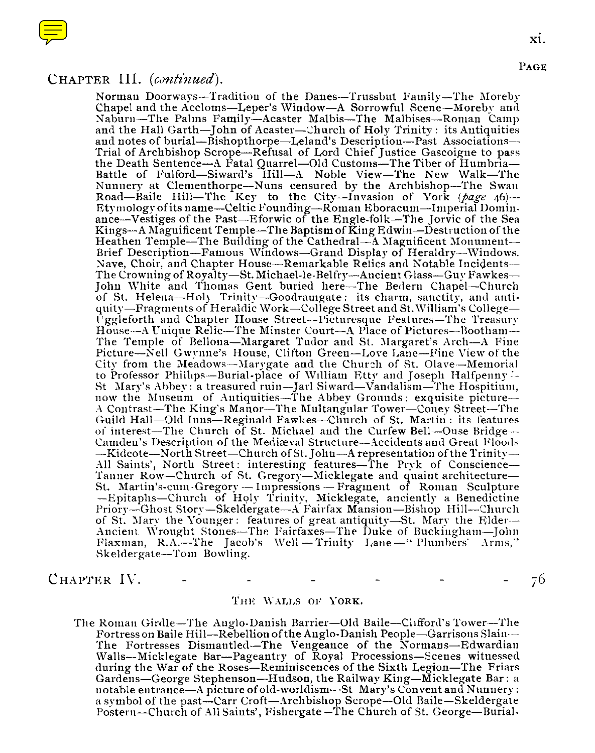

### CHAPTER III. *(continued).*

Norman Doorways—Traditiou of the Danes—Trussbut Family—The Moreby Chapel and the Accloms—Leper's Window—A Sorrowful Scene—Moreby and Naburn—The Palms Family—Acaster Malbis—The Malhises—Roman Camp and the Hall Garth—John of Acaster—Church of Holy Trinity : its Antiquities and notes of burial—Bishopthorpe—Leland's Description—Past Associations— Trial of Archbishop Scrope—Refusal of Lord Chief Justice Gascoigne to pass the Death Sentence—A Fatal Quarrel—Old Customs—The Tiber of Battle of Fulford—Siward's Hill—A Noble View—The New Walk—The Nunnery at Clementhorpe—Nuns censured by the Archbishop—The Swan Road—Baile Hill—The Key to the City—Invasion of York *(page* 46)— Etymology of its name—Celtic Founding—Roman Eboracum—Imperial Dominance—Vestiges of the Past—Eforwic of the Engle-folk—The Jorvic of the Sea Kings—A Magnificent Temple—The Baptism of King Edwin—Destruction of the Heathen Temple—The Building of the Cathedral—A Magnificent Monument— Brief Description—Famous Windows—Grand Display of Heraldry—Windows, Nave, Choir, and Chapter House—Remarkable Relics and Notahle Incidents— The Crowning of Royalty—St. Michael-le-Belfry—Ancient Glass—Guy Fawkes— John White and Thomas Gent bnried here—The Bedern Chapel—Church of St. Helena—Holy Trinity—Goodramgate : its charm, sanctity, and antiquity—Fragments of Heraldic Work—College Street and St. William's Uggleforth and Chapter House Street—Picturesque Features—The Treasury House---A Unique Relic--The Minster Court---A Place of Pictures---Bootham---The Temple of Belloua—Margaret Tudor and St. Margaret's Arch—A Fine Picture—Nell Gwynne's House, Clifton Green—Love Lane—Fine View of the City from the Meadows—Marygate and the Church of St. Olave—Memorial to Professor Phillips—Burial-place of William Etty and Joseph Halfpeuny =- St Mary's Abbey : a treasured ruin—Jarl Siward—Vandalism—The Hospitium, now the Museum of Antiquities—The Abbey Grounds : exquisite picture— A Contrast—The King's Manor—The Multangular Tower—Coney Street—The Guild Hall—Old Inns—Reginald Fawkes—Church of St. Martin : its features of interest--The Church of St. Michael and the Curfew Bell—Ouse Bridge— Camdeu's Description of the Mediaeval Structure—Accidents and Great Floods —Kidcote—North Street—Church of St. John—A representation of the Trinity— All Saints', North Street: interesting features—The Pryk of Conscience--Tanuer Row—Church of St. Gregory—Micklegate aud quaint architecture— St. Martin's-cum-Gregory — Impressions — Fragment of Roman Sculpture —Epitaphs—Church of Holy Trinity, Micklegate, anciently a Benedictine Priory—Ghost Story—Skeldergate—A Fairfax Mansion—Bishop Hill—Church of St. Mary the Younger : features of great antiquity—St. Mary the Elder— Ancient Wrought Stones—The Fairfaxes—The Duke of Buckingham—John Flaxman, R.A.—The Jacob's Well — Trinity Lane —" Plumbers' Arms,'' Skeldergate—Tom Bowling.

CHAPTER IV. 76

### THE WALLS OF YORK.

The Roman Girdle—The Auglo-Danish Barrier—Old Baile—Clifford's Tower—The Fortress on Baile Hill—Rebellion of the Anglo-Danish People—Garrisons Slaiu-- The Fortresses Dismantled—The Vengeance of the Normans—Edwardian Walls—Micklegate Bar—Pageantry of Royal Processions—Scenes witnessed during the War of the Roses—Reminiscences of the Sixth Legion—The Friars Gardens—George Stephenson—Hudson, the Railway King—Micklegate Bar : a uotable entrance—A picture of old-worldism--St Mary's Convent and Nunnery : a symbol of the past—Carr Croft—Archbishop Scrope—Old Baile—Skeldergate Postern—Church of All Saints', Fishergate —The Church of St. George—Burial-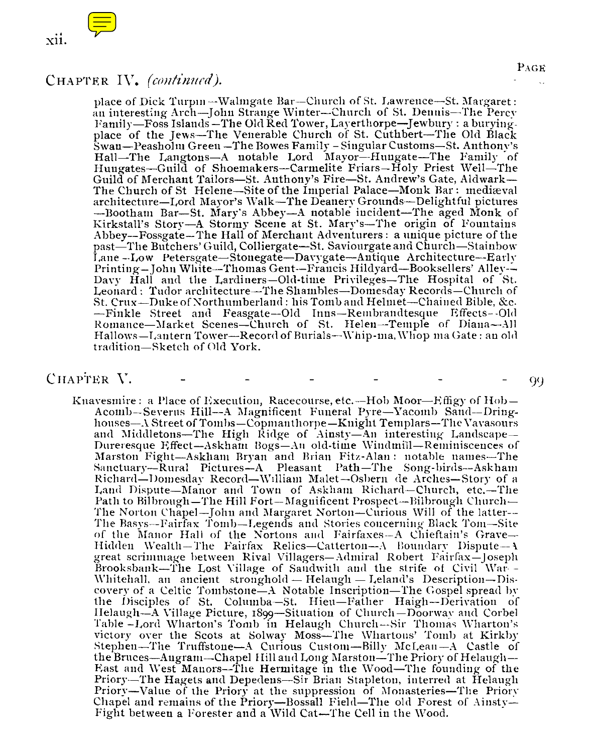

xii.<br>CHAPTER IV. (continued).<br>Diace of Dick Turpin–Walingate Bar–Church of<br>an interesting Arch–John Strange Winter–Chu<br>Family–Foss Islands–The Old Red Tower, Laye place of Dick Turpin -Walmgate Bar-Church of St. Lawrence-St. Margaret : an interesting Arch-John Strange Winter-Church of St. Dennis-The Percy Family-Foss Islands -The Old Red Tower, Layerthorpe-Jewbury : a buryiugplace of the Jews-The Venerable Church of St. Cuthbert-The Old Black Swan-Peasholm Green -The Bowes Family - Singular Customs-St. Anthony's Hall-The Langtons-A notable Lord Mayor-Hungate-The Family of Hungates-Guild of Shoemakers-Carmelite Friars-Holy Priest Well-The Guild of Merchant Tailors-St. Anthony's Fire-St. Andrew's Gate, Aldwark-The Church of St Helene-Site of the Imperial Palace-Monk Bar: mediæval architecture-Lord Mayor's Walk-The Deanery Grounds-Delightful pictures -Bootham Bar-St. Mary's Abbey-A notable incident-The aged Monk of Kirkstall's Story-A Stormy Scene at St. Mary's-The origin of Fountains Abbey-Fossgate-The Hall of Merchant Adventurers : a unique picture of the past-The Butchers' Guild, Colliergate-St. Saviourgate and Church-Stainbow Lane --Low Petersgate-Stonegate-Davygate-Antique Architecture-Early Printing-John White-Thomas Gent--Francis Hildyard-Booksellers' Alley-- Davy Hall and the Lardiners-Old-time Privileges-The Hospital of St. Leonard : Tudor architecture-The Shambles-Domesday Records-Church of St. Crux-Duke of Northumberland : his Tomb and Helmet-Chain ed Bible, &c. -Finkle Street and Feasgate-Old Inns-Rembrandtesque Effects-Old Romance-Market Scenes-Church of St. Helen-Temple of Diana-All Hallows-Lantern Tower-Record of Burials-Whip-ma, Whop ma Gate : an old tradition-Sketch of Old York.

### CHAPTER V.  $\qquad$  -  $\qquad$  -  $\qquad$  -  $\qquad$  -  $\qquad$  -  $\qquad$  99

Knavesmire: a Place of Execution, Racecourse, etc.—Hob Moor—Effigy of  $Hob =$ Acomb-Severus Hill-A Magnificent Funeral Pyre-Yacomb Sand-Dringhouses-A Street of Tombs-Copmanthorpe-Knight Templars-The Vayasours and Middletons—The High Ridge of Ainsty—An interesting Landscape— Dureresque Effect-Askham Bogs-An old-time Windmill-Reminiscences of Marston Fight-Askham Bryan and Brian Fits-Alan : notable names--The Sanctuary-Rural Pictures-A Pleasant Path-The Song-birds-Askham Richard-Domesday Record-William Malet-Osbern de Arches-Story of a Land Dispute-Manor and Town of Askham Richard-Church, etc.-The Path to Bilbrough-The Hill Fort-Magnificent Prospect-Bilbrough Church-The Norton Chapel-John and Margaret Norton-Curious Will of the latter-- The Basys-Fairfax Tomb-Legends and Stories concerning Black Tom-Site of the Manor Hall of the Nortons and Fairfaxes--A Chieftain's Grave-Hidden Wealth- The Fairfax Relics-Catterton-A Boundary Dispute- A great scrimmage between Rival Villagers-Admiral Robert Fairfax-Joseph Brooksbank-The Lost Village of Sandwith and the sfrife of Civil War-Whitehall, an ancient stronghold  $-$  Helaugh  $-$  Leland's Description- $-$ Discovery of a Celtic Tombstone-A Notable Inscription-The Gospel spread by the Disciples of St. Columba-St. Hieu-Father Haigh-Derivation of Helaugh-A Village Picture, 1899-Situation of Church -Doorway and Corbel Table -Lord Wharton's Tomb in Helaugh Church--Sir Thomas Wharton's victory over the Scots at Solway Moss-The Whartons' Tomb at Kirkby Stephen-The Truffstone-A Curious Custom-Billy McLean-A Castle of<br>the Bruces-Angram-Chapel Hill and Long Marston-The Priory of Helaugh-East and West Manors-The Hermitage in the Wood-The founding of the Priory-The Hagets and Depedens-Sir Brian Stapleton, interred at Helaugh Priory-Value of the Priory at the suppression of Monasteries-The Priory Chapel and remains of the Priory-Bossall Field-The old Forest of Ainsty-Fight between a Forester and a Wild Cat-The Cell in the Wood.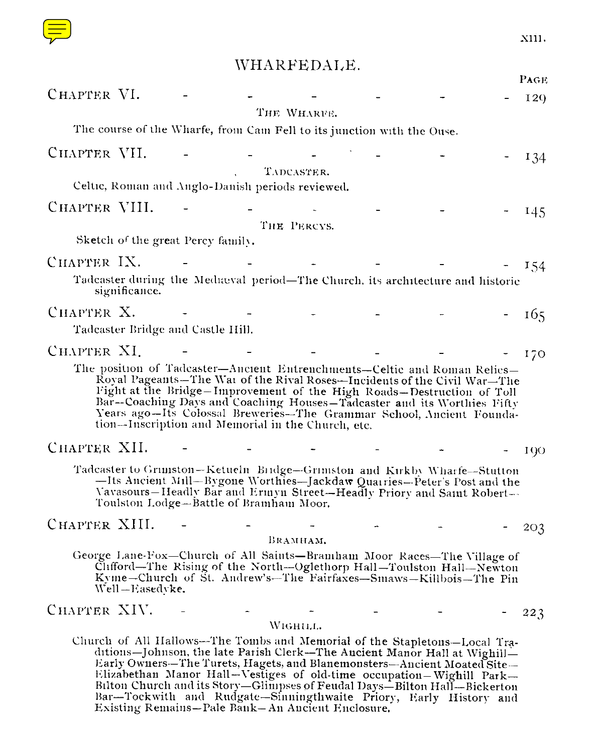

# WHARFEDALE.

|               |                                   |                                        |                                                                        |                                                                                                                                                                                                                                                                                                                                                                                                                                                             | X111. |
|---------------|-----------------------------------|----------------------------------------|------------------------------------------------------------------------|-------------------------------------------------------------------------------------------------------------------------------------------------------------------------------------------------------------------------------------------------------------------------------------------------------------------------------------------------------------------------------------------------------------------------------------------------------------|-------|
|               |                                   |                                        | WHARFEDALE.                                                            |                                                                                                                                                                                                                                                                                                                                                                                                                                                             |       |
| CHAPTER VI.   |                                   |                                        |                                                                        |                                                                                                                                                                                                                                                                                                                                                                                                                                                             | PAGE  |
|               |                                   |                                        | THE WHARFE.                                                            |                                                                                                                                                                                                                                                                                                                                                                                                                                                             | 129   |
|               |                                   |                                        | The course of the Wharfe, from Cam Fell to its junction with the Ouse. |                                                                                                                                                                                                                                                                                                                                                                                                                                                             |       |
| CHAPTER VII.  |                                   |                                        |                                                                        |                                                                                                                                                                                                                                                                                                                                                                                                                                                             | 134   |
|               |                                   |                                        | TADCASTER.<br>Celtic, Roman and Anglo-Danish periods reviewed.         |                                                                                                                                                                                                                                                                                                                                                                                                                                                             |       |
| CHAPTER VIII. |                                   |                                        |                                                                        |                                                                                                                                                                                                                                                                                                                                                                                                                                                             |       |
|               |                                   |                                        | THE PERCYS.                                                            |                                                                                                                                                                                                                                                                                                                                                                                                                                                             | 145   |
|               | Sketch of the great Percy family. |                                        |                                                                        |                                                                                                                                                                                                                                                                                                                                                                                                                                                             |       |
| CHAPTER IX.   |                                   |                                        |                                                                        |                                                                                                                                                                                                                                                                                                                                                                                                                                                             | 154   |
|               | significance.                     |                                        |                                                                        | Tadeaster during the Mediaval period-The Church, its architecture and historic                                                                                                                                                                                                                                                                                                                                                                              |       |
| CHAPTER X.    |                                   |                                        |                                                                        |                                                                                                                                                                                                                                                                                                                                                                                                                                                             | - 165 |
|               | Tadcaster Bridge and Castle Hill. |                                        |                                                                        |                                                                                                                                                                                                                                                                                                                                                                                                                                                             |       |
| CHAPTER XI.   |                                   |                                        |                                                                        |                                                                                                                                                                                                                                                                                                                                                                                                                                                             | 170   |
|               |                                   |                                        | tion-Inscription and Memorial in the Church, etc.                      | The position of Tadcaster-Ancient Entrenchments-Celtic and Roman Relics-<br>Royal Pageants—The Wai of the Rival Roses—Incidents of the Civil War—The<br>Fight at the Bridge-Improvement of the High Roads-Destruction of Toll<br>Bar--Coaching Days and Coaching Houses-Tadcaster and its Worthies Fifty<br>Years ago-Its Colossal Breweries-The Grammar School, Ancient Founda-                                                                            |       |
| CHAPTER XII.  |                                   |                                        |                                                                        |                                                                                                                                                                                                                                                                                                                                                                                                                                                             | 100   |
|               |                                   | Toulston Lodge-Battle of Bramham Moor. |                                                                        | Tadcaster to Grimston-Ketueln Bridge-Grimston and Kirkby Wharfe-Stutton<br>-Its Ancient Mill-Bygone Worthies-Jackdaw Quarries-Peter's Post and the<br>Vavasours-Headly Bar and Ermyn Street-Headly Priory and Samt Robert-                                                                                                                                                                                                                                  |       |
| CHAPTER XIII. |                                   |                                        |                                                                        |                                                                                                                                                                                                                                                                                                                                                                                                                                                             | 203   |
|               | Well-Easedvke,                    |                                        | BRAMHAM.                                                               | George Lane-Fox-Church of All Saints-Bramham Moor Races-The Village of<br>Clifford—The Rising of the North—Oglethorp Hall—Toulston Hall—Newton<br>Kyme-Church of St. Andrew's-The Fairfaxes-Smaws-Killbois-The Pin                                                                                                                                                                                                                                          |       |
| CHAPTER XIV.  |                                   |                                        | WIGHILL.                                                               |                                                                                                                                                                                                                                                                                                                                                                                                                                                             | 223   |
|               |                                   |                                        | Existing Remains—Pale Bank—An Ancient Enclosure.                       | Church of All Hallows-The Tombs and Memorial of the Stapletons-Local Tra-<br>ditions-Johnson, the late Parish Clerk-The Ancient Manor Hall at Wighill-<br>Early Owners-The Turets, Hagets, and Blanemonsters-Ancient Moated Site-<br>Elizabethan Manor Hall-Vestiges of old-time occupation-Wighill Park-<br>Bilton Church and its Story-Glimpses of Feudal Days-Bilton Hall-Bickerton<br>Bar—Tockwith and Rudgate—Sinningthwaite Priory, Early History and |       |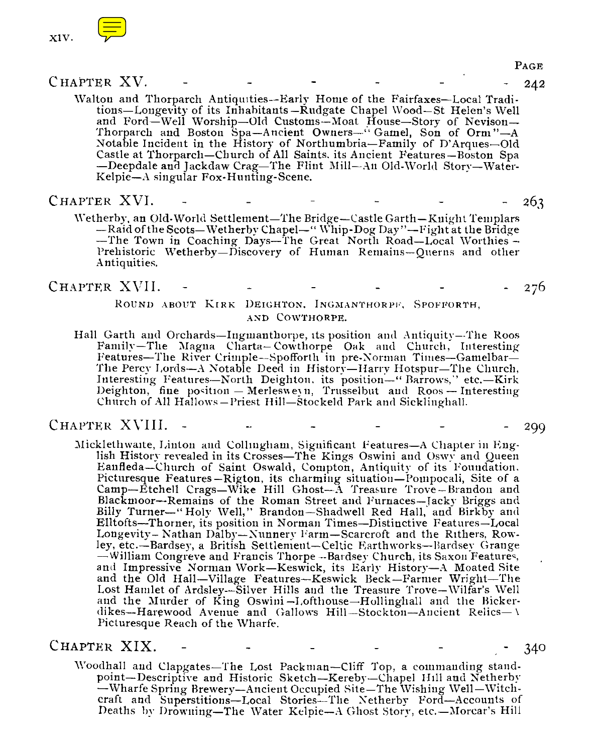



<sup>C</sup> HAPTER XV. - - - - - 242

PAGE

Walton and Thorparch Antiquities--Early Home of the Fairfaxes—Local Traditions—Longevity of its Inhabitants —Rudgate Chapel Wood—St Helen's Well and Ford—Well Worship—Old Customs—Moat House—Story of Nevison— Thorparch and Boston Spa—Ancient Owners—" Gamel, Son of Orm "—A Notable Incident in the History of Northumbria—Family of D'Arques—Old Castle at Thorparch—Church of All Saints, its Ancient Features—Boston Spa —Deepdale and Jackdaw Crag—The Flint Mill—Au Old-World Story—Water-Kelpie—A singular Fox-Hunting-Scene.

### CHAPTER XVI. - - 263

Wetherby, an Old-World Settlement—The Bridge—Castle Garth—Knight Templars —Raid of the Scots—Wetherby Chapel—" Whip-Dog Day "—Fight at the Bridge —The Town in Coaching Days—The Great North Road—Local Worthies — Prehistoric Wetherby—Discovery of Human Remains—Querns and other Antiquities.

CHAPTER XVII. - - - - - - - - 276

ROUND ABOUT KIRK DEIGHTON, INGMANTHORPF, SPOFFORTH, AND COWTHORPE.

Hall Garth and Orchards—Ingmanthorpe, its positiou and Antiquity—The Roos Family—The Magna Charta— Cowthorpe Oak and Church, Interesting Features-The River Crimple-Spofforth in pre-Norman Times-Gamelbar-The Percy Lords—A Notable Deed in History—Harry Hotspur—The Church, Interesting Features—North Deighton. its position—" Barrows,'' etc.—Kirk Deighton, fine position  $-$  Merlesweyn, Trusselbut and Roos  $-$  Interesting Church of All Hallows —Priest Hill—Stockeld Park and Sicklinghall.

### CHAPTER - - 299

Micklethwaite, Linton and Collingham, Significant Features—A Chapter in English History revealed in its Crosses—The Kings Oswini and Oswy and Queen Eanfleda—Church of Saint Oswald, Compton, Antiquity of its Foundation. Picturesque Features —Rigton, its charming situation—Pompocali, Site of a Camp—Etchell Crags—Wike Hill Ghost—A Treasure Trove—Brandon and Blackmoor—Remains of the Roman Street and Furnaces—Jacky Briggs and Billy Turner—" Holy Well," Brandon—Shadwell Red Hall, and Birkby and Elltofts—Thorner, its position in Norman Times—Distinctive Features—Local Longevity— Nathan Dalby—Nunnery Farm—Scarcroft and the Rithers, Rowley, etc.—Bardsey, a British Settlement—Celtic Earthworks—Bardsey Grange —William Congreve and Francis Thorpe --Bardsey Church, its Saxon Features, and Impressive Norman Work—Keswick, its Early History—A Moated Site and the Old Hall—Village Features—Keswick Beck—Farmer Wright—The Lost Hamlet of Ardsley--Silver Hills and the Treasure Trove—Wilfar's Well and the Murder of King Oswini—Lofthouse—Hollinghall and the Bickerdikes—Harewood Avenue and Gallows Hill—Stockton—Ancient Relics—\ Picturesque Reach of the Wharfe.

### CHAPTER XIX.

- 340

Woodhall and Clapgates—The Lost Packman—Cliff Top, a commanding standpoint—Descriptive and Historic Sketch—Kereby—Chapel Hill and Netherby —Wharfe Spring Brewery—Ancient Occupied Site—The Wishing Well—Witchcraft and Superstitions—Local Stories—The Netherby Ford—Accounts of Deaths by Drowning—The Water Kelpie—A Ghost Story, etc.—Morcar's Hill